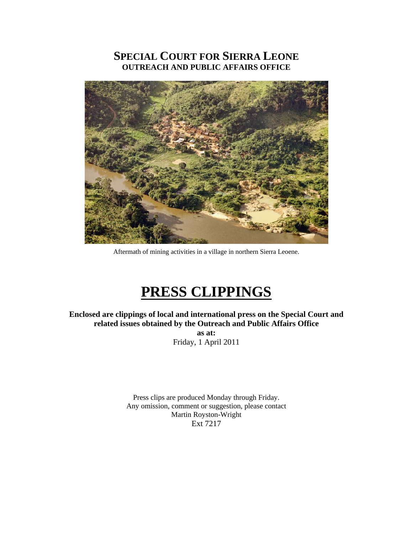# **SPECIAL COURT FOR SIERRA LEONE OUTREACH AND PUBLIC AFFAIRS OFFICE**



Aftermath of mining activities in a village in northern Sierra Leoene.

# **PRESS CLIPPINGS**

**Enclosed are clippings of local and international press on the Special Court and related issues obtained by the Outreach and Public Affairs Office** 

> **as at:**  Friday, 1 April 2011

Press clips are produced Monday through Friday. Any omission, comment or suggestion, please contact Martin Royston-Wright Ext 7217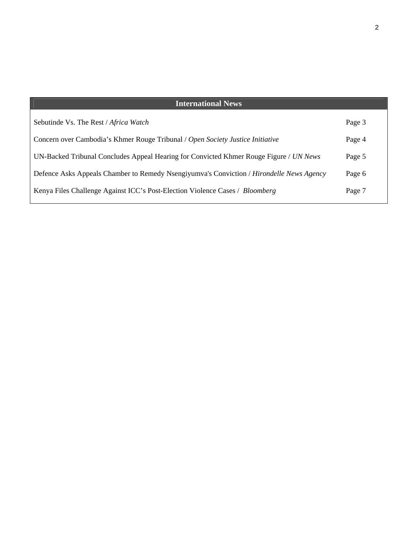## **International News**

| Sebutinde Vs. The Rest / Africa Watch                                                    | Page 3 |
|------------------------------------------------------------------------------------------|--------|
| Concern over Cambodia's Khmer Rouge Tribunal / Open Society Justice Initiative           | Page 4 |
| UN-Backed Tribunal Concludes Appeal Hearing for Convicted Khmer Rouge Figure / UN News   | Page 5 |
| Defence Asks Appeals Chamber to Remedy Nsengiyumva's Conviction / Hirondelle News Agency | Page 6 |
| Kenya Files Challenge Against ICC's Post-Election Violence Cases / Bloomberg             | Page 7 |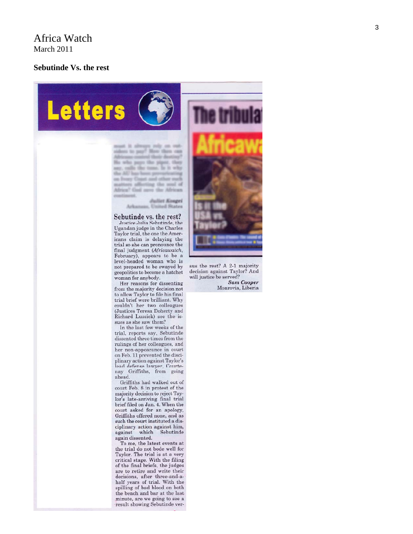### Africa Watch March 2011

#### **Sebutinde Vs. the rest**

**Letters** 

must it always rely on outsiders to pay? How then can Africans control their destiny? He who pays the piper, they any, callis the tune, Is it why the AU has been prevarienting on Ivory Coast and other rock matters affecting the seal of Africa? God savs the African continent.

> **Juliet Kongel** Arkansas, United States

Sebutinde vs. the rest? Justice Julia Sebutinde, the Ugandan judge in the Charles Taylor trial, the one the Americans claim is delaying the trial so she can pronounce the final judgment (Africawatch, February), appears to be a level-headed woman who is not prepared to be swayed by geopolitics to become a hatchet woman for anybody.

Her reasons for dissenting from the majority decision not to allow Taylor to file his final trial brief were brilliant. Why couldn't her two colleagues (Justices Teresa Doherty and Richard Lussick) see the issues as she saw them?

In the last few weeks of the trial, reports say, Sebutinde dissented three times from the rulings of her colleagues, and her non-appearance in court on Feb. 11 prevented the disciplinary action against Taylor's lead defense lawyer, Courtenay Griffiths, from going ahead.

Griffiths had walked out of court Feb. 8 in protest of the majority decision to reject Taylor's late-arriving final trial brief filed on Jan. 4. When the court asked for an apology, Griffiths offered none, and as such the court instituted a disciplinary action against him, against which Sebutinde again dissented.

To me, the latest events at the trial do not bode well for Taylor. The trial is at a very critical stage. With the filing of the final briefs, the judges are to retire and write their decisions, after three-and-ahalf years of trial. With the spilling of bad blood on both the bench and bar at the last minute, are we going to see a result showing Sebutinde ver-



sus the rest? A 2-1 majority decision against Taylor? And will justice be served?

**Sam Cooper** Monrovia, Liberia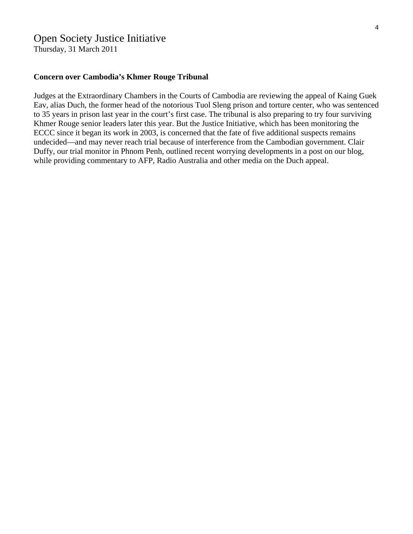## Open Society Justice Initiative

Thursday, 31 March 2011

#### **Concern over Cambodia's Khmer Rouge Tribunal**

Judges at the Extraordinary Chambers in the Courts of Cambodia are reviewing the appeal of Kaing Guek Eav, alias Duch, the former head of the notorious Tuol Sleng prison and torture center, who was sentenced to 35 years in prison last year in the court's first case. The tribunal is also preparing to try four surviving Khmer Rouge senior leaders later this year. But the Justice Initiative, which has been monitoring the ECCC since it began its work in 2003, is concerned that the fate of five additional suspects remains undecided—and may never reach trial because of interference from the Cambodian government. Clair Duffy, our trial monitor in Phnom Penh, outlined recent worrying developments in a post on our blog, while providing commentary to AFP, Radio Australia and other media on the Duch appeal.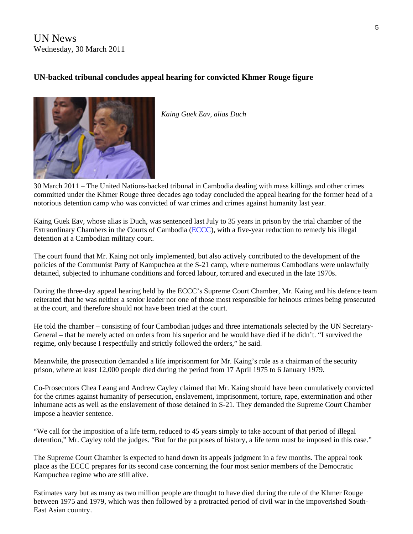UN News Wednesday, 30 March 2011

### **UN-backed tribunal concludes appeal hearing for convicted Khmer Rouge figure**



*Kaing Guek Eav, alias Duch* 

30 March 2011 – The United Nations-backed tribunal in Cambodia dealing with mass killings and other crimes committed under the Khmer Rouge three decades ago today concluded the appeal hearing for the former head of a notorious detention camp who was convicted of war crimes and crimes against humanity last year.

Kaing Guek Eav, whose alias is Duch, was sentenced last July to 35 years in prison by the trial chamber of the Extraordinary Chambers in the Courts of Cambodia [\(ECCC\)](http://www.eccc.gov.kh/), with a five-year reduction to remedy his illegal detention at a Cambodian military court.

The court found that Mr. Kaing not only implemented, but also actively contributed to the development of the policies of the Communist Party of Kampuchea at the S-21 camp, where numerous Cambodians were unlawfully detained, subjected to inhumane conditions and forced labour, tortured and executed in the late 1970s.

During the three-day appeal hearing held by the ECCC's Supreme Court Chamber, Mr. Kaing and his defence team reiterated that he was neither a senior leader nor one of those most responsible for heinous crimes being prosecuted at the court, and therefore should not have been tried at the court.

He told the chamber – consisting of four Cambodian judges and three internationals selected by the UN Secretary-General – that he merely acted on orders from his superior and he would have died if he didn't. "I survived the regime, only because I respectfully and strictly followed the orders," he said.

Meanwhile, the prosecution demanded a life imprisonment for Mr. Kaing's role as a chairman of the security prison, where at least 12,000 people died during the period from 17 April 1975 to 6 January 1979.

Co-Prosecutors Chea Leang and Andrew Cayley claimed that Mr. Kaing should have been cumulatively convicted for the crimes against humanity of persecution, enslavement, imprisonment, torture, rape, extermination and other inhumane acts as well as the enslavement of those detained in S-21. They demanded the Supreme Court Chamber impose a heavier sentence.

"We call for the imposition of a life term, reduced to 45 years simply to take account of that period of illegal detention," Mr. Cayley told the judges. "But for the purposes of history, a life term must be imposed in this case."

The Supreme Court Chamber is expected to hand down its appeals judgment in a few months. The appeal took place as the ECCC prepares for its second case concerning the four most senior members of the Democratic Kampuchea regime who are still alive.

Estimates vary but as many as two million people are thought to have died during the rule of the Khmer Rouge between 1975 and 1979, which was then followed by a protracted period of civil war in the impoverished South-East Asian country.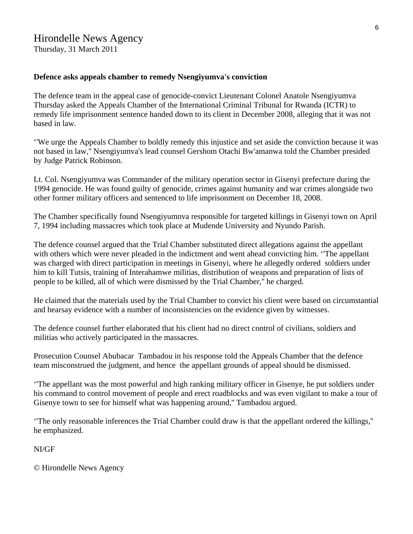# Hirondelle News Agency

Thursday, 31 March 2011

#### **Defence asks appeals chamber to remedy Nsengiyumva's conviction**

The defence team in the appeal case of genocide-convict Lieutenant Colonel Anatole Nsengiyumva Thursday asked the Appeals Chamber of the International Criminal Tribunal for Rwanda (ICTR) to remedy life imprisonment sentence handed down to its client in December 2008, alleging that it was not based in law.

''We urge the Appeals Chamber to boldly remedy this injustice and set aside the conviction because it was not based in law,'' Nsengiyumva's lead counsel Gershom Otachi Bw'amanwa told the Chamber presided by Judge Patrick Robinson.

Lt. Col. Nsengiyumva was Commander of the military operation sector in Gisenyi prefecture during the 1994 genocide. He was found guilty of genocide, crimes against humanity and war crimes alongside two other former military officers and sentenced to life imprisonment on December 18, 2008.

The Chamber specifically found Nsengiyumnva responsible for targeted killings in Gisenyi town on April 7, 1994 including massacres which took place at Mudende University and Nyundo Parish.

The defence counsel argued that the Trial Chamber substituted direct allegations against the appellant with others which were never pleaded in the indictment and went ahead convicting him. 'The appellant was charged with direct participation in meetings in Gisenyi, where he allegedly ordered soldiers under him to kill Tutsis, training of Interahamwe militias, distribution of weapons and preparation of lists of people to be killed, all of which were dismissed by the Trial Chamber,'' he charged.

He claimed that the materials used by the Trial Chamber to convict his client were based on circumstantial and hearsay evidence with a number of inconsistencies on the evidence given by witnesses.

The defence counsel further elaborated that his client had no direct control of civilians, soldiers and militias who actively participated in the massacres.

Prosecution Counsel Abubacar Tambadou in his response told the Appeals Chamber that the defence team misconstrued the judgment, and hence the appellant grounds of appeal should be dismissed.

''The appellant was the most powerful and high ranking military officer in Gisenye, he put soldiers under his command to control movement of people and erect roadblocks and was even vigilant to make a tour of Gisenye town to see for himself what was happening around,'' Tambadou argued.

''The only reasonable inferences the Trial Chamber could draw is that the appellant ordered the killings,'' he emphasized.

NI/GF

© Hirondelle News Agency